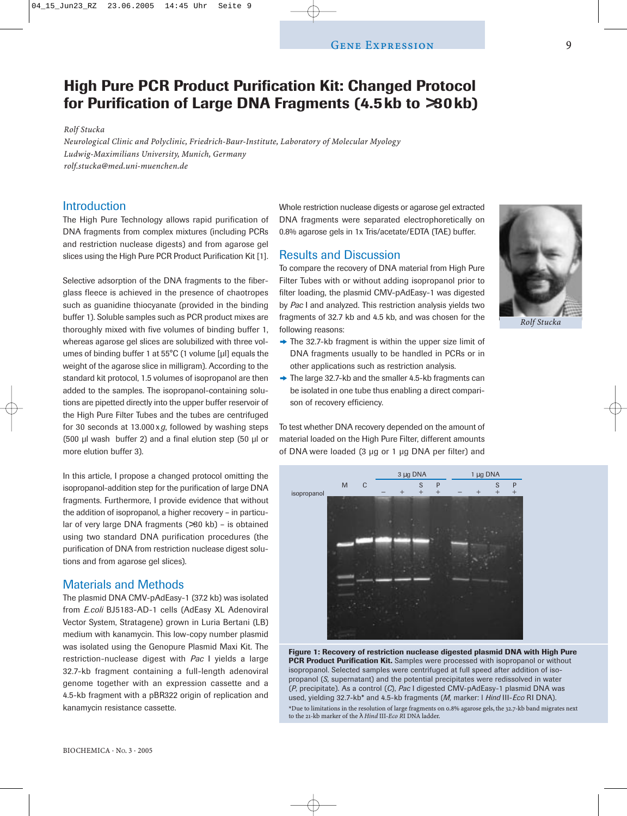# **High Pure PCR Product Purification Kit: Changed Protocol for Purification of Large DNA Fragments (4.5kb to** >**30kb)**

*Rolf Stucka*

*Neurological Clinic and Polyclinic, Friedrich-Baur-Institute, Laboratory of Molecular Myology Ludwig-Maximilians University, Munich, Germany rolf.stucka@med.uni-muenchen.de*

## **Introduction**

The High Pure Technology allows rapid purification of DNA fragments from complex mixtures (including PCRs and restriction nuclease digests) and from agarose gel slices using the High Pure PCR Product Purification Kit [1].

Selective adsorption of the DNA fragments to the fiberglass fleece is achieved in the presence of chaotropes such as guanidine thiocyanate (provided in the binding buffer 1). Soluble samples such as PCR product mixes are thoroughly mixed with five volumes of binding buffer 1, whereas agarose gel slices are solubilized with three volumes of binding buffer 1 at 55°C (1 volume [µl] equals the weight of the agarose slice in milligram). According to the standard kit protocol, 1.5 volumes of isopropanol are then added to the samples. The isopropanol-containing solutions are pipetted directly into the upper buffer reservoir of the High Pure Filter Tubes and the tubes are centrifuged for 30 seconds at 13.000 x*g*, followed by washing steps (500 µl wash buffer 2) and a final elution step (50 µl or more elution buffer 3).

In this article, I propose a changed protocol omitting the isopropanol-addition step for the purification of large DNA fragments. Furthermore, I provide evidence that without the addition of isopropanol, a higher recovery – in particular of very large DNA fragments (>30 kb) – is obtained using two standard DNA purification procedures (the purification of DNA from restriction nuclease digest solutions and from agarose gel slices).

## Materials and Methods

The plasmid DNA CMV-pAdEasy-1 (37.2 kb) was isolated from *E.coli* BJ5183-AD-1 cells (AdEasy XL Adenoviral Vector System, Stratagene) grown in Luria Bertani (LB) medium with kanamycin. This low-copy number plasmid was isolated using the Genopure Plasmid Maxi Kit. The restriction-nuclease digest with *Pac* I yields a large 32.7-kb fragment containing a full-length adenoviral genome together with an expression cassette and a 4.5-kb fragment with a pBR322 origin of replication and kanamycin resistance cassette.

Whole restriction nuclease digests or agarose gel extracted DNA fragments were separated electrophoretically on 0.8% agarose gels in 1x Tris/acetate/EDTA (TAE) buffer.

### Results and Discussion

To compare the recovery of DNA material from High Pure Filter Tubes with or without adding isopropanol prior to filter loading, the plasmid CMV-pAdEasy-1 was digested by *Pac* I and analyzed. This restriction analysis yields two fragments of 32.7 kb and 4.5 kb, and was chosen for the following reasons:

- ❖ The 32.7-kb fragment is within the upper size limit of DNA fragments usually to be handled in PCRs or in other applications such as restriction analysis.
- ❖ The large 32.7-kb and the smaller 4.5-kb fragments can be isolated in one tube thus enabling a direct comparison of recovery efficiency.

To test whether DNA recovery depended on the amount of material loaded on the High Pure Filter, different amounts of DNA were loaded (3 µg or 1 µg DNA per filter) and



**Figure 1: Recovery of restriction nuclease digested plasmid DNA with High Pure PCR Product Purification Kit.** Samples were processed with isopropanol or without isopropanol. Selected samples were centrifuged at full speed after addition of isopropanol (*S,* supernatant) and the potential precipitates were redissolved in water (*P*, precipitate). As a control (*C*), *Pac* I digested CMV-pAdEasy-1 plasmid DNA was used, yielding 32.7-kb\* and 4.5-kb fragments (*M,* marker: l *Hind* III-*Eco* RI DNA).

\*Due to limitations in the resolution of large fragments on 0.8% agarose gels, the 32.7-kb band migrates next to the 21-kb marker of the λ *Hind* III-*Eco R*I DNA ladder.

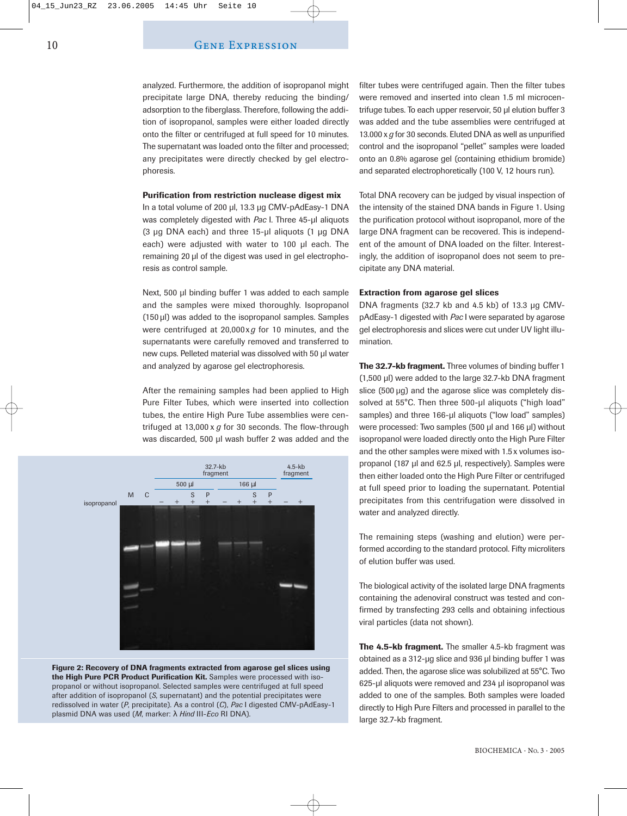analyzed. Furthermore, the addition of isopropanol might precipitate large DNA, thereby reducing the binding/ adsorption to the fiberglass. Therefore, following the addition of isopropanol, samples were either loaded directly onto the filter or centrifuged at full speed for 10 minutes. The supernatant was loaded onto the filter and processed; any precipitates were directly checked by gel electrophoresis.

#### **Purification from restriction nuclease digest mix**

In a total volume of 200 µl, 13.3 µg CMV-pAdEasy-1 DNA was completely digested with *Pac* I. Three 45-µl aliquots (3 µg DNA each) and three 15-µl aliquots (1 µg DNA each) were adjusted with water to 100 µl each. The remaining 20 µl of the digest was used in gel electrophoresis as control sample.

Next, 500 µl binding buffer 1 was added to each sample and the samples were mixed thoroughly. Isopropanol (150 µl) was added to the isopropanol samples. Samples were centrifuged at 20,000x*g* for 10 minutes, and the supernatants were carefully removed and transferred to new cups. Pelleted material was dissolved with 50 µl water and analyzed by agarose gel electrophoresis.

After the remaining samples had been applied to High Pure Filter Tubes, which were inserted into collection tubes, the entire High Pure Tube assemblies were centrifuged at 13,000 x *g* for 30 seconds. The flow-through was discarded, 500 µl wash buffer 2 was added and the



**Figure 2: Recovery of DNA fragments extracted from agarose gel slices using the High Pure PCR Product Purification Kit.** Samples were processed with isopropanol or without isopropanol. Selected samples were centrifuged at full speed after addition of isopropanol (*S*, supernatant) and the potential precipitates were redissolved in water (*P*, precipitate). As a control (*C*), *Pac* I digested CMV-pAdEasy-1 plasmid DNA was used (*M*, marker: λ *Hind* III-*Eco* RI DNA).

filter tubes were centrifuged again. Then the filter tubes were removed and inserted into clean 1.5 ml microcentrifuge tubes. To each upper reservoir, 50 µl elution buffer 3 was added and the tube assemblies were centrifuged at 13.000 x *g* for 30 seconds. Eluted DNA as well as unpurified control and the isopropanol "pellet" samples were loaded onto an 0.8% agarose gel (containing ethidium bromide) and separated electrophoretically (100 V, 12 hours run).

Total DNA recovery can be judged by visual inspection of the intensity of the stained DNA bands in Figure 1. Using the purification protocol without isopropanol, more of the large DNA fragment can be recovered. This is independent of the amount of DNA loaded on the filter. Interestingly, the addition of isopropanol does not seem to precipitate any DNA material.

#### **Extraction from agarose gel slices**

DNA fragments (32.7 kb and 4.5 kb) of 13.3 µg CMVpAdEasy-1 digested with *Pac* I were separated by agarose gel electrophoresis and slices were cut under UV light illumination.

**The 32.7-kb fragment.** Three volumes of binding buffer 1 (1,500 µl) were added to the large 32.7-kb DNA fragment slice (500 µg) and the agarose slice was completely dissolved at 55°C. Then three 500-ul aliquots ("high load" samples) and three 166-µl aliquots ("low load" samples) were processed: Two samples (500 µl and 166 µl) without isopropanol were loaded directly onto the High Pure Filter and the other samples were mixed with 1.5 x volumes isopropanol (187 µl and 62.5 µl, respectively). Samples were then either loaded onto the High Pure Filter or centrifuged at full speed prior to loading the supernatant. Potential precipitates from this centrifugation were dissolved in water and analyzed directly.

The remaining steps (washing and elution) were performed according to the standard protocol. Fifty microliters of elution buffer was used.

The biological activity of the isolated large DNA fragments containing the adenoviral construct was tested and confirmed by transfecting 293 cells and obtaining infectious viral particles (data not shown).

**The 4.5-kb fragment.** The smaller 4.5-kb fragment was obtained as a 312-µg slice and 936 µl binding buffer 1 was added. Then, the agarose slice was solubilized at 55°C. Two 625-µl aliquots were removed and 234 µl isopropanol was added to one of the samples. Both samples were loaded directly to High Pure Filters and processed in parallel to the large 32.7-kb fragment.